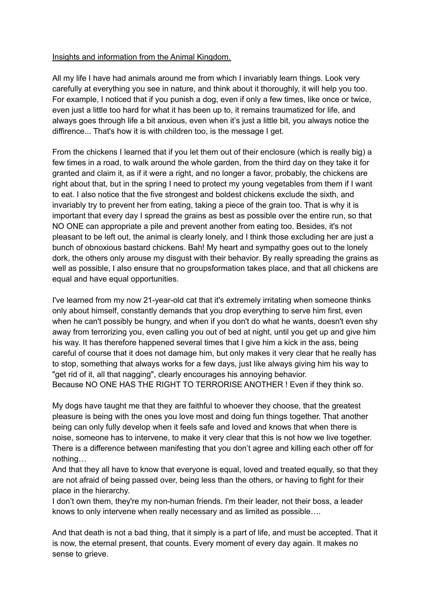## Insights and information from the Animal Kingdom.

All my life I have had animals around me from which I invariably learn things. Look very carefully at everything you see in nature, and think about it thoroughly, it will help you too. For example, I noticed that if you punish a dog, even if only a few times, like once or twice, even just a little too hard for what it has been up to, it remains traumatized for life, and always goes through life a bit anxious, even when it's just a little bit, you always notice the diffirence... That's how it is with children too, is the message I get.

From the chickens I learned that if you let them out of their enclosure (which is really big) a few times in a road, to walk around the whole garden, from the third day on they take it for granted and claim it, as if it were a right, and no longer a favor, probably, the chickens are right about that, but in the spring I need to protect my young vegetables from them if I want to eat. I also notice that the five strongest and boldest chickens exclude the sixth, and invariably try to prevent her from eating, taking a piece of the grain too. That is why it is important that every day I spread the grains as best as possible over the entire run, so that NO ONE can appropriate a pile and prevent another from eating too. Besides, it's not pleasant to be left out, the animal is clearly lonely, and I think those excluding her are just a bunch of obnoxious bastard chickens. Bah! My heart and sympathy goes out to the lonely dork, the others only arouse my disgust with their behavior. By really spreading the grains as well as possible, I also ensure that no groupsformation takes place, and that all chickens are equal and have equal opportunities.

I've learned from my now 21-year-old cat that it's extremely irritating when someone thinks only about himself, constantly demands that you drop everything to serve him first, even when he can't possibly be hungry, and when if you don't do what he wants, doesn't even shy away from terrorizing you, even calling you out of bed at night, until you get up and give him his way. It has therefore happened several times that I give him a kick in the ass, being careful of course that it does not damage him, but only makes it very clear that he really has to stop, something that always works for a few days, just like always giving him his way to "get rid of it, all that nagging", clearly encourages his annoying behavior. Because NO ONE HAS THE RIGHT TO TERRORISE ANOTHER ! Even if they think so.

My dogs have taught me that they are faithful to whoever they choose, that the greatest pleasure is being with the ones you love most and doing fun things together. That another being can only fully develop when it feels safe and loved and knows that when there is noise, someone has to intervene, to make it very clear that this is not how we live together. There is a difference between manifesting that you don't agree and killing each other off for nothing…

And that they all have to know that everyone is equal, loved and treated equally, so that they are not afraid of being passed over, being less than the others, or having to fight for their place in the hierarchy.

I don't own them, they're my non-human friends. I'm their leader, not their boss, a leader knows to only intervene when really necessary and as limited as possible….

And that death is not a bad thing, that it simply is a part of life, and must be accepted. That it is now, the eternal present, that counts. Every moment of every day again. It makes no sense to grieve.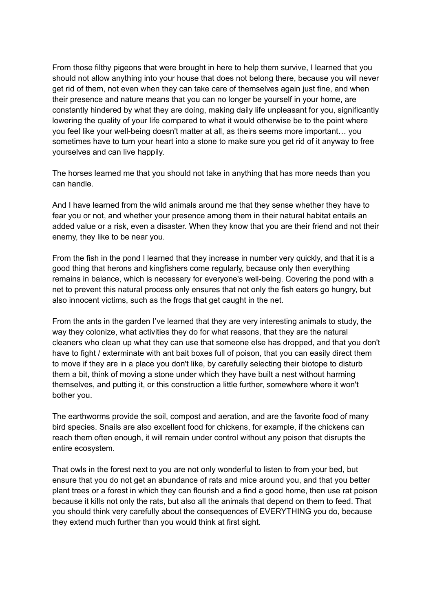From those filthy pigeons that were brought in here to help them survive, I learned that you should not allow anything into your house that does not belong there, because you will never get rid of them, not even when they can take care of themselves again just fine, and when their presence and nature means that you can no longer be yourself in your home, are constantly hindered by what they are doing, making daily life unpleasant for you, significantly lowering the quality of your life compared to what it would otherwise be to the point where you feel like your well-being doesn't matter at all, as theirs seems more important… you sometimes have to turn your heart into a stone to make sure you get rid of it anyway to free yourselves and can live happily.

The horses learned me that you should not take in anything that has more needs than you can handle.

And I have learned from the wild animals around me that they sense whether they have to fear you or not, and whether your presence among them in their natural habitat entails an added value or a risk, even a disaster. When they know that you are their friend and not their enemy, they like to be near you.

From the fish in the pond I learned that they increase in number very quickly, and that it is a good thing that herons and kingfishers come regularly, because only then everything remains in balance, which is necessary for everyone's well-being. Covering the pond with a net to prevent this natural process only ensures that not only the fish eaters go hungry, but also innocent victims, such as the frogs that get caught in the net.

From the ants in the garden I've learned that they are very interesting animals to study, the way they colonize, what activities they do for what reasons, that they are the natural cleaners who clean up what they can use that someone else has dropped, and that you don't have to fight / exterminate with ant bait boxes full of poison, that you can easily direct them to move if they are in a place you don't like, by carefully selecting their biotope to disturb them a bit, think of moving a stone under which they have built a nest without harming themselves, and putting it, or this construction a little further, somewhere where it won't bother you.

The earthworms provide the soil, compost and aeration, and are the favorite food of many bird species. Snails are also excellent food for chickens, for example, if the chickens can reach them often enough, it will remain under control without any poison that disrupts the entire ecosystem.

That owls in the forest next to you are not only wonderful to listen to from your bed, but ensure that you do not get an abundance of rats and mice around you, and that you better plant trees or a forest in which they can flourish and a find a good home, then use rat poison because it kills not only the rats, but also all the animals that depend on them to feed. That you should think very carefully about the consequences of EVERYTHING you do, because they extend much further than you would think at first sight.